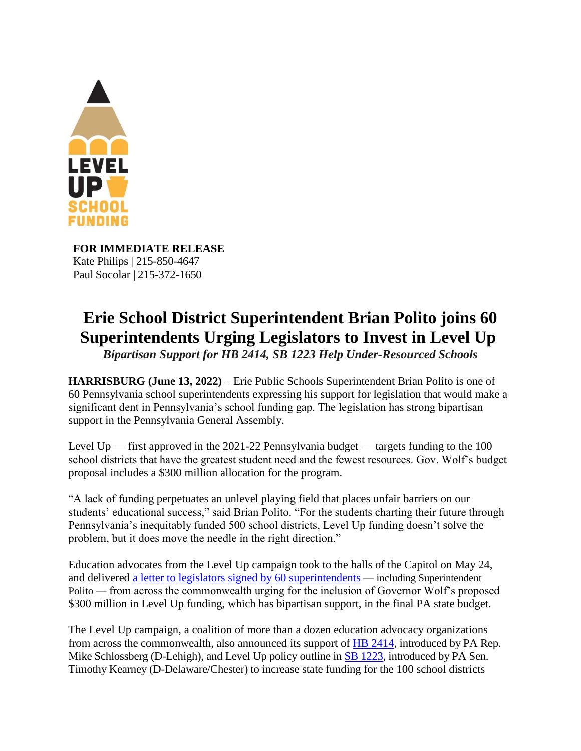

**FOR IMMEDIATE RELEASE** Kate Philips | 215-850-4647 Paul Socolar | 215-372-1650

## **Erie School District Superintendent Brian Polito joins 60 Superintendents Urging Legislators to Invest in Level Up**

*Bipartisan Support for HB 2414, SB 1223 Help Under-Resourced Schools* 

**HARRISBURG (June 13, 2022)** – Erie Public Schools Superintendent Brian Polito is one of 60 Pennsylvania school superintendents expressing his support for legislation that would make a significant dent in Pennsylvania's school funding gap. The legislation has strong bipartisan support in the Pennsylvania General Assembly.

Level Up — first approved in the 2021-22 Pennsylvania budget — targets funding to the 100 school districts that have the greatest student need and the fewest resources. Gov. Wolf's budget proposal includes a \$300 million allocation for the program.

"A lack of funding perpetuates an unlevel playing field that places unfair barriers on our students' educational success," said Brian Polito. "For the students charting their future through Pennsylvania's inequitably funded 500 school districts, Level Up funding doesn't solve the problem, but it does move the needle in the right direction."

Education advocates from the Level Up campaign took to the halls of the Capitol on May 24, and delivered [a letter to legislators signed by 60 superintendents](https://leveluppa.org/wp-content/uploads/2022/05/LEVEL-UP-Letter-to-GA-05-23-2022.pdf) — including Superintendent Polito — from across the commonwealth urging for the inclusion of Governor Wolf's proposed \$300 million in Level Up funding, which has bipartisan support, in the final PA state budget.

The Level Up campaign, a coalition of more than a dozen education advocacy organizations from across the commonwealth, also announced its support of **HB 2414**, introduced by PA Rep. Mike Schlossberg (D-Lehigh), and Level Up policy outline in **SB 1223**, introduced by PA Sen. Timothy Kearney (D-Delaware/Chester) to increase state funding for the 100 school districts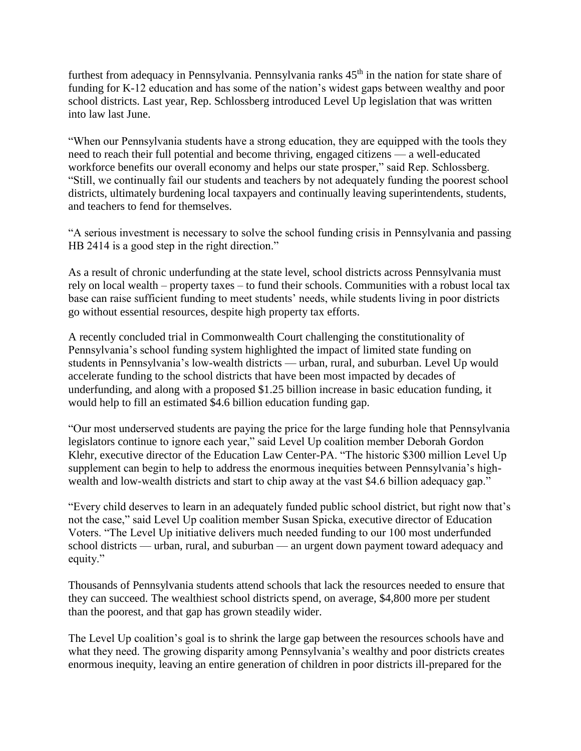furthest from adequacy in Pennsylvania. Pennsylvania ranks 45<sup>th</sup> in the nation for state share of funding for K-12 education and has some of the nation's widest gaps between wealthy and poor school districts. Last year, Rep. Schlossberg introduced Level Up legislation that was written into law last June.

"When our Pennsylvania students have a strong education, they are equipped with the tools they need to reach their full potential and become thriving, engaged citizens — a well-educated workforce benefits our overall economy and helps our state prosper," said Rep. Schlossberg. "Still, we continually fail our students and teachers by not adequately funding the poorest school districts, ultimately burdening local taxpayers and continually leaving superintendents, students, and teachers to fend for themselves.

"A serious investment is necessary to solve the school funding crisis in Pennsylvania and passing HB 2414 is a good step in the right direction."

As a result of chronic underfunding at the state level, school districts across Pennsylvania must rely on local wealth – property taxes – to fund their schools. Communities with a robust local tax base can raise sufficient funding to meet students' needs, while students living in poor districts go without essential resources, despite high property tax efforts.

A recently concluded trial in Commonwealth Court challenging the constitutionality of Pennsylvania's school funding system highlighted the impact of limited state funding on students in Pennsylvania's low-wealth districts — urban, rural, and suburban. Level Up would accelerate funding to the school districts that have been most impacted by decades of underfunding, and along with a proposed \$1.25 billion increase in basic education funding, it would help to fill an estimated \$4.6 billion education funding gap.

"Our most underserved students are paying the price for the large funding hole that Pennsylvania legislators continue to ignore each year," said Level Up coalition member Deborah Gordon Klehr, executive director of the Education Law Center-PA. "The historic \$300 million Level Up supplement can begin to help to address the enormous inequities between Pennsylvania's highwealth and low-wealth districts and start to chip away at the vast \$4.6 billion adequacy gap."

"Every child deserves to learn in an adequately funded public school district, but right now that's not the case," said Level Up coalition member Susan Spicka, executive director of Education Voters. "The Level Up initiative delivers much needed funding to our 100 most underfunded school districts — urban, rural, and suburban — an urgent down payment toward adequacy and equity."

Thousands of Pennsylvania students attend schools that lack the resources needed to ensure that they can succeed. The wealthiest school districts spend, on average, \$4,800 more per student than the poorest, and that gap has grown steadily wider.

The Level Up coalition's goal is to shrink the large gap between the resources schools have and what they need. The growing disparity among Pennsylvania's wealthy and poor districts creates enormous inequity, leaving an entire generation of children in poor districts ill-prepared for the